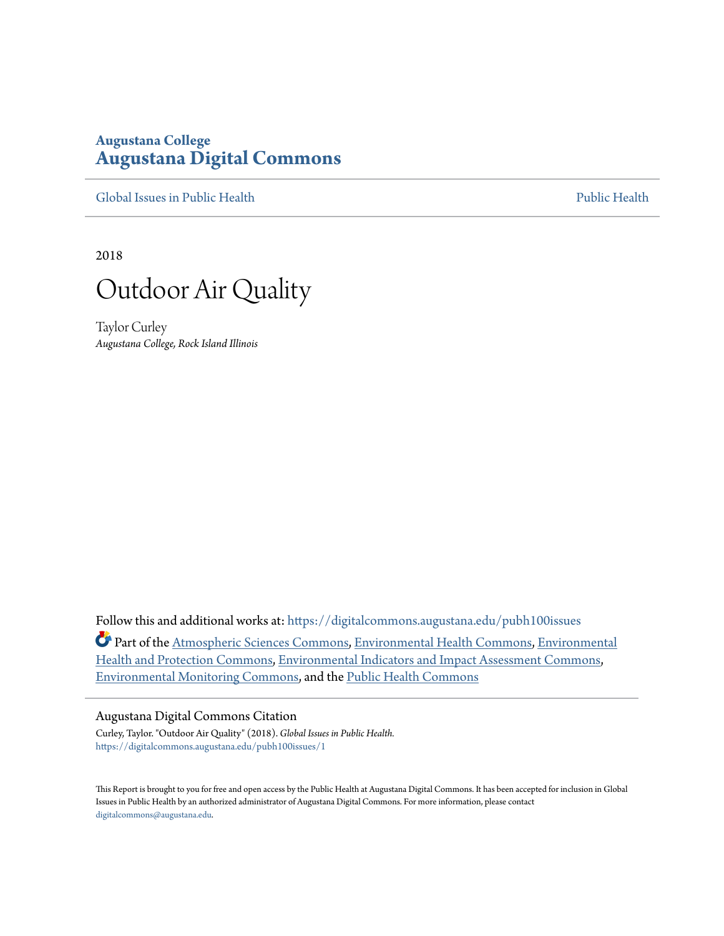# **Augustana College [Augustana Digital Commons](https://digitalcommons.augustana.edu?utm_source=digitalcommons.augustana.edu%2Fpubh100issues%2F1&utm_medium=PDF&utm_campaign=PDFCoverPages)**

[Global Issues in Public Health](https://digitalcommons.augustana.edu/pubh100issues?utm_source=digitalcommons.augustana.edu%2Fpubh100issues%2F1&utm_medium=PDF&utm_campaign=PDFCoverPages) [Public Health](https://digitalcommons.augustana.edu/publichealth?utm_source=digitalcommons.augustana.edu%2Fpubh100issues%2F1&utm_medium=PDF&utm_campaign=PDFCoverPages) Public Health Public Health Public Health

2018



Taylor Curley *Augustana College, Rock Island Illinois*

Follow this and additional works at: [https://digitalcommons.augustana.edu/pubh100issues](https://digitalcommons.augustana.edu/pubh100issues?utm_source=digitalcommons.augustana.edu%2Fpubh100issues%2F1&utm_medium=PDF&utm_campaign=PDFCoverPages)

Part of the [Atmospheric Sciences Commons,](http://network.bepress.com/hgg/discipline/187?utm_source=digitalcommons.augustana.edu%2Fpubh100issues%2F1&utm_medium=PDF&utm_campaign=PDFCoverPages) [Environmental Health Commons](http://network.bepress.com/hgg/discipline/64?utm_source=digitalcommons.augustana.edu%2Fpubh100issues%2F1&utm_medium=PDF&utm_campaign=PDFCoverPages), [Environmental](http://network.bepress.com/hgg/discipline/172?utm_source=digitalcommons.augustana.edu%2Fpubh100issues%2F1&utm_medium=PDF&utm_campaign=PDFCoverPages) [Health and Protection Commons,](http://network.bepress.com/hgg/discipline/172?utm_source=digitalcommons.augustana.edu%2Fpubh100issues%2F1&utm_medium=PDF&utm_campaign=PDFCoverPages) [Environmental Indicators and Impact Assessment Commons](http://network.bepress.com/hgg/discipline/1015?utm_source=digitalcommons.augustana.edu%2Fpubh100issues%2F1&utm_medium=PDF&utm_campaign=PDFCoverPages), [Environmental Monitoring Commons,](http://network.bepress.com/hgg/discipline/931?utm_source=digitalcommons.augustana.edu%2Fpubh100issues%2F1&utm_medium=PDF&utm_campaign=PDFCoverPages) and the [Public Health Commons](http://network.bepress.com/hgg/discipline/738?utm_source=digitalcommons.augustana.edu%2Fpubh100issues%2F1&utm_medium=PDF&utm_campaign=PDFCoverPages)

#### Augustana Digital Commons Citation

Curley, Taylor. "Outdoor Air Quality" (2018). *Global Issues in Public Health.* [https://digitalcommons.augustana.edu/pubh100issues/1](https://digitalcommons.augustana.edu/pubh100issues/1?utm_source=digitalcommons.augustana.edu%2Fpubh100issues%2F1&utm_medium=PDF&utm_campaign=PDFCoverPages)

This Report is brought to you for free and open access by the Public Health at Augustana Digital Commons. It has been accepted for inclusion in Global Issues in Public Health by an authorized administrator of Augustana Digital Commons. For more information, please contact [digitalcommons@augustana.edu.](mailto:digitalcommons@augustana.edu)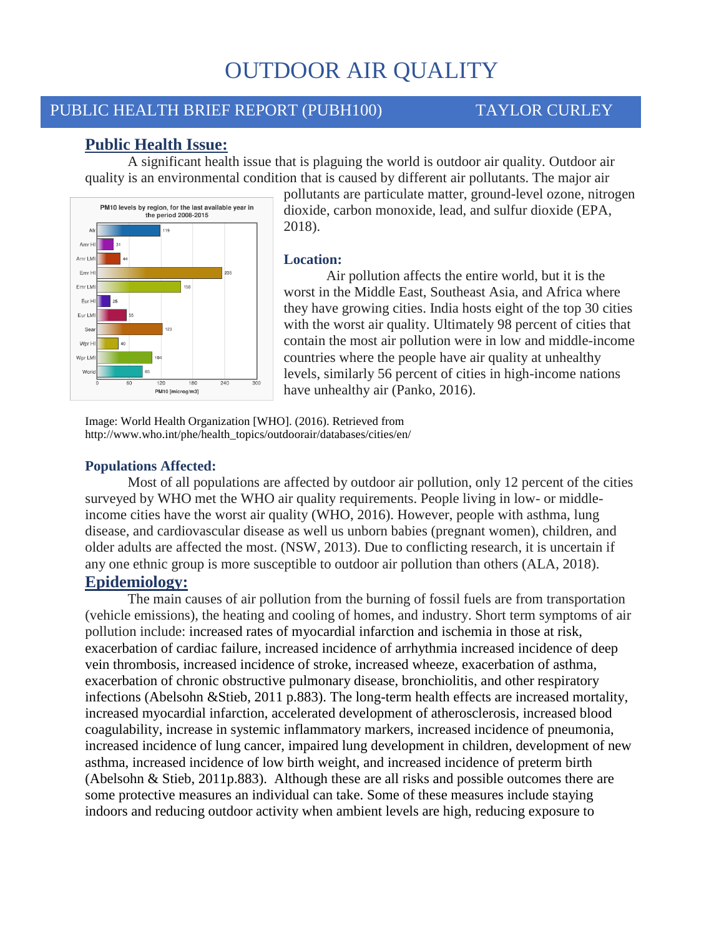# OUTDOOR AIR QUALITY

# PUBLIC HEALTH BRIEF REPORT (PUBH100) TAYLOR CURLEY

# **Public Health Issue:**

A significant health issue that is plaguing the world is outdoor air quality. Outdoor air quality is an environmental condition that is caused by different air pollutants. The major air



pollutants are particulate matter, ground-level ozone, nitrogen dioxide, carbon monoxide, lead, and sulfur dioxide (EPA, 2018).

#### **Location:**

Air pollution affects the entire world, but it is the worst in the Middle East, Southeast Asia, and Africa where they have growing cities. India hosts eight of the top 30 cities with the worst air quality. Ultimately 98 percent of cities that contain the most air pollution were in low and middle-income countries where the people have air quality at unhealthy levels, similarly 56 percent of cities in high-income nations have unhealthy air (Panko, 2016).

Image: World Health Organization [WHO]. (2016). Retrieved from http://www.who.int/phe/health\_topics/outdoorair/databases/cities/en/

#### **Populations Affected:**

Most of all populations are affected by outdoor air pollution, only 12 percent of the cities surveyed by WHO met the WHO air quality requirements. People living in low- or middleincome cities have the worst air quality (WHO, 2016). However, people with asthma, lung disease, and cardiovascular disease as well us unborn babies (pregnant women), children, and older adults are affected the most. (NSW, 2013). Due to conflicting research, it is uncertain if any one ethnic group is more susceptible to outdoor air pollution than others (ALA, 2018).

# **Epidemiology:**

The main causes of air pollution from the burning of fossil fuels are from transportation (vehicle emissions), the heating and cooling of homes, and industry. Short term symptoms of air pollution include: increased rates of myocardial infarction and ischemia in those at risk, exacerbation of cardiac failure, increased incidence of arrhythmia increased incidence of deep vein thrombosis, increased incidence of stroke, increased wheeze, exacerbation of asthma, exacerbation of chronic obstructive pulmonary disease, bronchiolitis, and other respiratory infections (Abelsohn &Stieb, 2011 p.883). The long-term health effects are increased mortality, increased myocardial infarction, accelerated development of atherosclerosis, increased blood coagulability, increase in systemic inflammatory markers, increased incidence of pneumonia, increased incidence of lung cancer, impaired lung development in children, development of new asthma, increased incidence of low birth weight, and increased incidence of preterm birth (Abelsohn & Stieb, 2011p.883). Although these are all risks and possible outcomes there are some protective measures an individual can take. Some of these measures include staying indoors and reducing outdoor activity when ambient levels are high, reducing exposure to